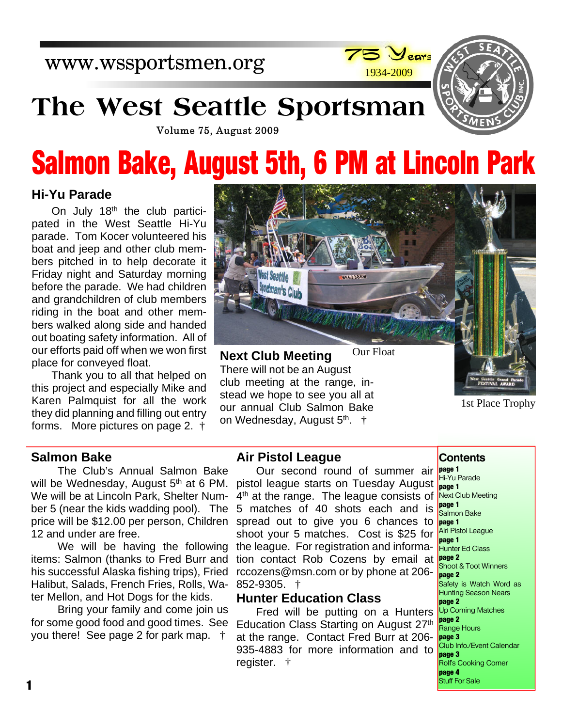www.wssportsmen.org



# **The West Seattle Sportsman**



Volume 75, August 2009

# **Salmon Bake, August 5th, 6 PM at Lincoln Park**

### **Hi-Yu Parade**

On July 18<sup>th</sup> the club participated in the West Seattle Hi-Yu parade. Tom Kocer volunteered his boat and jeep and other club members pitched in to help decorate it Friday night and Saturday morning before the parade. We had children and grandchildren of club members riding in the boat and other members walked along side and handed out boating safety information. All of our efforts paid off when we won first place for conveyed float.

Thank you to all that helped on this project and especially Mike and Karen Palmquist for all the work they did planning and filling out entry forms. More pictures on page 2. †



**Next Club Meeting** There will not be an August club meeting at the range, instead we hope to see you all at our annual Club Salmon Bake on Wednesday, August 5<sup>th</sup>. †

1st Place Trophy

#### **Salmon Bake**

The Club's Annual Salmon Bake will be Wednesday, August 5<sup>th</sup> at 6 PM. We will be at Lincoln Park, Shelter Number 5 (near the kids wadding pool). The price will be \$12.00 per person, Children spread out to give you 6 chances to 12 and under are free.

We will be having the following items: Salmon (thanks to Fred Burr and his successful Alaska fishing trips), Fried Halibut, Salads, French Fries, Rolls, Water Mellon, and Hot Dogs for the kids.

Bring your family and come join us for some good food and good times. See you there! See page 2 for park map. †

#### **Air Pistol League**

Our second round of summer air pistol league starts on Tuesday August 4<sup>th</sup> at the range. The league consists of 5 matches of 40 shots each and is shoot your 5 matches. Cost is \$25 for the league. For registration and information contact Rob Cozens by email at rccozens@msn.com or by phone at 206- 852-9305. †

### **Hunter Education Class**

Fred will be putting on a Hunters Education Class Starting on August 27th at the range. Contact Fred Burr at 206- 935-4883 for more information and to register. †

**Contents**

**page 1** Hi-Yu Parade **page 1** Next Club Meeting **page 1** Salmon Bake **page 1** Airi Pistol League **page 1 Hunter Ed Class page 2** Shoot & Toot Winners **page 2** Safety is Watch Word as Hunting Season Nears **page 2** Up Coming Matches **page 2** Range Hours **page 3** Club Info./Event Calendar **page 3** Rolf's Cooking Corner **page 4** Stuff For Sale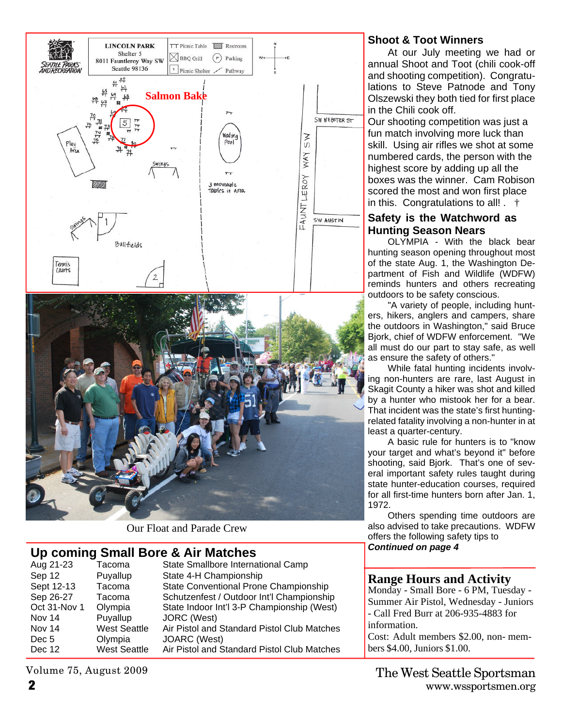

Our Float and Parade Crew

# **Up coming Small Bore & Air Matches**

| Aug 21-23    | Tacoma              | State Smallbore International Camp          |
|--------------|---------------------|---------------------------------------------|
| Sep 12       | Puyallup            | State 4-H Championship                      |
| Sept 12-13   | Tacoma              | State Conventional Prone Championship       |
| Sep 26-27    | Tacoma              | Schutzenfest / Outdoor Int'l Championship   |
| Oct 31-Nov 1 | Olympia             | State Indoor Int'l 3-P Championship (West)  |
| Nov 14       | Puyallup            | JORC (West)                                 |
| Nov 14       | <b>West Seattle</b> | Air Pistol and Standard Pistol Club Matches |
| Dec 5        | Olympia             | <b>JOARC</b> (West)                         |
| Dec 12       | <b>West Seattle</b> | Air Pistol and Standard Pistol Club Matches |
|              |                     |                                             |

Volume 75, August 2009

# **Shoot & Toot Winners**

At our July meeting we had or annual Shoot and Toot (chili cook-off and shooting competition). Congratulations to Steve Patnode and Tony Olszewski they both tied for first place in the Chili cook off.

Our shooting competition was just a fun match involving more luck than skill. Using air rifles we shot at some numbered cards, the person with the highest score by adding up all the boxes was the winner. Cam Robison scored the most and won first place in this. Congratulations to all! . †

#### **Safety is the Watchword as Hunting Season Nears**

OLYMPIA - With the black bear hunting season opening throughout most of the state Aug. 1, the Washington Department of Fish and Wildlife (WDFW) reminds hunters and others recreating outdoors to be safety conscious.

"A variety of people, including hunters, hikers, anglers and campers, share the outdoors in Washington," said Bruce Bjork, chief of WDFW enforcement. "We all must do our part to stay safe, as well as ensure the safety of others."

While fatal hunting incidents involving non-hunters are rare, last August in Skagit County a hiker was shot and killed by a hunter who mistook her for a bear. That incident was the state's first huntingrelated fatality involving a non-hunter in at least a quarter-century.

A basic rule for hunters is to "know your target and what's beyond it" before shooting, said Bjork. That's one of several important safety rules taught during state hunter-education courses, required for all first-time hunters born after Jan. 1, 1972.

Others spending time outdoors are also advised to take precautions. WDFW offers the following safety tips to *Continued on page 4*

#### **Range Hours and Activity**

Monday - Small Bore - 6 PM, Tuesday - Summer Air Pistol, Wednesday - Juniors - Call Fred Burr at 206-935-4883 for information.

Cost: Adult members \$2.00, non- members \$4.00, Juniors \$1.00.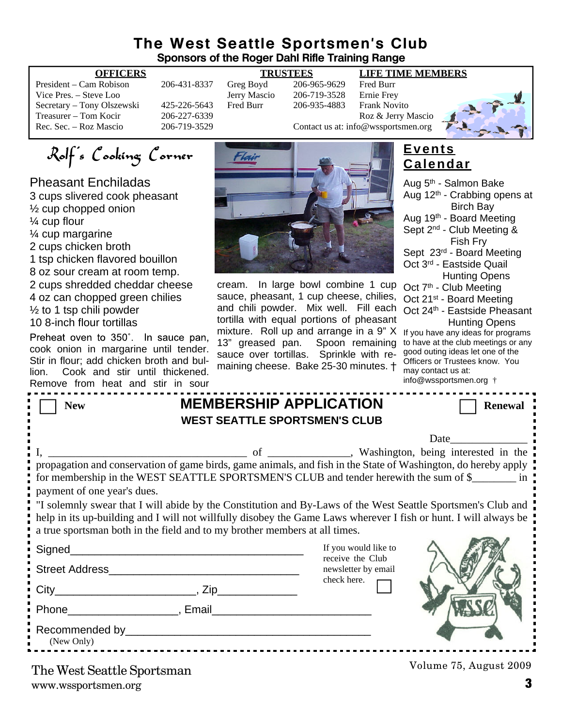# **The West Seattle Sportsmen's Club Sponsors of the Roger Dahl Rifle Training Range**

| President – Cam Robison    |
|----------------------------|
| Vice Pres. - Steve Loo     |
| Secretary – Tony Olszewski |
| Treasurer – Tom Kocir      |
| Rec. Sec. – Roz Mascio     |

#### **OFFICERS TRUSTEES LIFE TIME MEMBERS**

206-431-8337 Greg Boyd 206-965-9629 Fred Burr<br>Jerry Mascio 206-719-3528 Ernie Frey Vich Pres. – Steve 206-719-3528 Ernie Frey<br>Fred Burr – 206-935-4883 Frank Nov 425-226-5643 Fred Burr 206-935-4883 Frank Novito Treasurer – Tom Contact us at: info@wsportsmen.org<br>206-719-3529 Contact us at: info@wsportsmen.org Contact us at: info@wssportsmen.org



Rolf's Cooking Corner

Pheasant Enchiladas 3 cups slivered cook pheasant ½ cup chopped onion ¼ cup flour ¼ cup margarine 2 cups chicken broth

1 tsp chicken flavored bouillon

8 oz sour cream at room temp.

2 cups shredded cheddar cheese 4 oz can chopped green chilies  $\frac{1}{2}$  to 1 tsp chili powder

10 8-inch flour tortillas

Preheat oven to 350°. In sauce pan, cook onion in margarine until tender. Stir in flour; add chicken broth and bullion. Cook and stir until thickened. Remove from heat and stir in sour



cream. In large bowl combine 1 cup sauce, pheasant, 1 cup cheese, chilies, and chili powder. Mix well. Fill each tortilla with equal portions of pheasant mixture. Roll up and arrange in a 9" X 13" greased pan. Spoon remaining sauce over tortillas. Sprinkle with remaining cheese. Bake 25-30 minutes. †

# **Events Calendar**

Date\_\_\_\_\_\_\_\_\_\_\_\_\_\_ Aug 5th - Salmon Bake Aug  $12<sup>th</sup>$  - Crabbing opens at Birch Bay Aug 19th - Board Meeting Sept 2<sup>nd</sup> - Club Meeting & Fish Fry Sept 23rd - Board Meeting Oct 3rd - Eastside Quail Hunting Opens Oct 7<sup>th</sup> - Club Meeting Oct 21<sup>st</sup> - Board Meeting Oct 24th - Eastside Pheasant Hunting Opens If you have any ideas for programs to have at the club meetings or any good outing ideas let one of the Officers or Trustees know. You may contact us at: info@wssportsmen.org †

| <b>New</b>                                                                                                                                                                                                                       | <b>MEMBERSHIP APPLICATION</b> |                  |                      | <b>Renewal</b> |  |  |  |  |
|----------------------------------------------------------------------------------------------------------------------------------------------------------------------------------------------------------------------------------|-------------------------------|------------------|----------------------|----------------|--|--|--|--|
| <b>WEST SEATTLE SPORTSMEN'S CLUB</b>                                                                                                                                                                                             |                               |                  |                      |                |  |  |  |  |
|                                                                                                                                                                                                                                  |                               |                  |                      |                |  |  |  |  |
|                                                                                                                                                                                                                                  |                               |                  |                      |                |  |  |  |  |
| propagation and conservation of game birds, game animals, and fish in the State of Washington, do hereby apply                                                                                                                   |                               |                  |                      |                |  |  |  |  |
| for membership in the WEST SEATTLE SPORTSMEN'S CLUB and tender herewith the sum of \$                                                                                                                                            |                               |                  |                      |                |  |  |  |  |
| payment of one year's dues.                                                                                                                                                                                                      |                               |                  |                      |                |  |  |  |  |
| "I solemnly swear that I will abide by the Constitution and By-Laws of the West Seattle Sportsmen's Club and<br>help in its up-building and I will not willfully disobey the Game Laws wherever I fish or hunt. I will always be |                               |                  |                      |                |  |  |  |  |
| a true sportsman both in the field and to my brother members at all times.                                                                                                                                                       |                               |                  |                      |                |  |  |  |  |
|                                                                                                                                                                                                                                  |                               |                  | If you would like to |                |  |  |  |  |
| Street Address and the street Address and the street Address and the street of the street of the street of the                                                                                                                   |                               | receive the Club | newsletter by email  |                |  |  |  |  |
|                                                                                                                                                                                                                                  |                               | check here.      |                      |                |  |  |  |  |
|                                                                                                                                                                                                                                  |                               |                  |                      |                |  |  |  |  |
| Phone Representation of the Representation of the Representation of the Representation of the Representation of the Representation of the Representation of the Representation of the Representation of the Representation of    |                               |                  |                      |                |  |  |  |  |
|                                                                                                                                                                                                                                  |                               |                  |                      |                |  |  |  |  |
| (New Only)                                                                                                                                                                                                                       |                               |                  |                      |                |  |  |  |  |

www.wssportsmen.org **3** The West Seattle Sportsman

Volume 75, August 2009